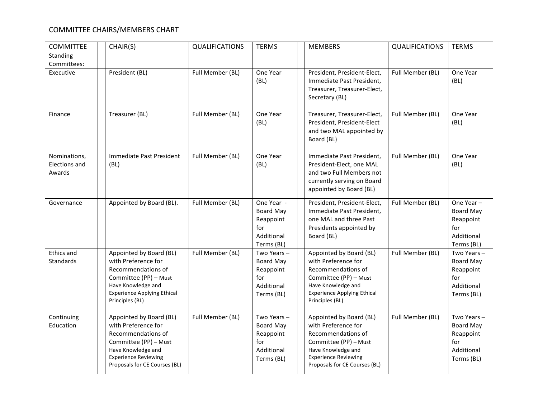## COMMITTEE CHAIRS/MEMBERS CHART

| <b>COMMITTEE</b>                               | CHAIR(S)                                                                                                                                                                            | <b>QUALIFICATIONS</b> | <b>TERMS</b>                                                                   | <b>MEMBERS</b>                                                                                                                                                                      | <b>QUALIFICATIONS</b> | <b>TERMS</b>                                                                   |
|------------------------------------------------|-------------------------------------------------------------------------------------------------------------------------------------------------------------------------------------|-----------------------|--------------------------------------------------------------------------------|-------------------------------------------------------------------------------------------------------------------------------------------------------------------------------------|-----------------------|--------------------------------------------------------------------------------|
| Standing<br>Committees:                        |                                                                                                                                                                                     |                       |                                                                                |                                                                                                                                                                                     |                       |                                                                                |
| Executive                                      | President (BL)                                                                                                                                                                      | Full Member (BL)      | One Year<br>(BL)                                                               | President, President-Elect,<br>Immediate Past President,<br>Treasurer, Treasurer-Elect,<br>Secretary (BL)                                                                           | Full Member (BL)      | One Year<br>(BL)                                                               |
| Finance                                        | Treasurer (BL)                                                                                                                                                                      | Full Member (BL)      | One Year<br>(BL)                                                               | Treasurer, Treasurer-Elect,<br>President, President-Elect<br>and two MAL appointed by<br>Board (BL)                                                                                 | Full Member (BL)      | One Year<br>(BL)                                                               |
| Nominations,<br><b>Elections and</b><br>Awards | Immediate Past President<br>(BL)                                                                                                                                                    | Full Member (BL)      | One Year<br>(BL)                                                               | Immediate Past President,<br>President-Elect, one MAL<br>and two Full Members not<br>currently serving on Board<br>appointed by Board (BL)                                          | Full Member (BL)      | One Year<br>(BL)                                                               |
| Governance                                     | Appointed by Board (BL).                                                                                                                                                            | Full Member (BL)      | One Year -<br><b>Board May</b><br>Reappoint<br>for<br>Additional<br>Terms (BL) | President, President-Elect,<br>Immediate Past President,<br>one MAL and three Past<br>Presidents appointed by<br>Board (BL)                                                         | Full Member (BL)      | One Year-<br><b>Board May</b><br>Reappoint<br>for<br>Additional<br>Terms (BL)  |
| <b>Ethics and</b><br><b>Standards</b>          | Appointed by Board (BL)<br>with Preference for<br>Recommendations of<br>Committee (PP) - Must<br>Have Knowledge and<br><b>Experience Applying Ethical</b><br>Principles (BL)        | Full Member (BL)      | Two Years-<br><b>Board May</b><br>Reappoint<br>for<br>Additional<br>Terms (BL) | Appointed by Board (BL)<br>with Preference for<br>Recommendations of<br>Committee (PP) - Must<br>Have Knowledge and<br><b>Experience Applying Ethical</b><br>Principles (BL)        | Full Member (BL)      | Two Years-<br><b>Board May</b><br>Reappoint<br>for<br>Additional<br>Terms (BL) |
| Continuing<br>Education                        | Appointed by Board (BL)<br>with Preference for<br>Recommendations of<br>Committee (PP) - Must<br>Have Knowledge and<br><b>Experience Reviewing</b><br>Proposals for CE Courses (BL) | Full Member (BL)      | Two Years-<br><b>Board May</b><br>Reappoint<br>for<br>Additional<br>Terms (BL) | Appointed by Board (BL)<br>with Preference for<br>Recommendations of<br>Committee (PP) - Must<br>Have Knowledge and<br><b>Experience Reviewing</b><br>Proposals for CE Courses (BL) | Full Member (BL)      | Two Years-<br><b>Board May</b><br>Reappoint<br>for<br>Additional<br>Terms (BL) |